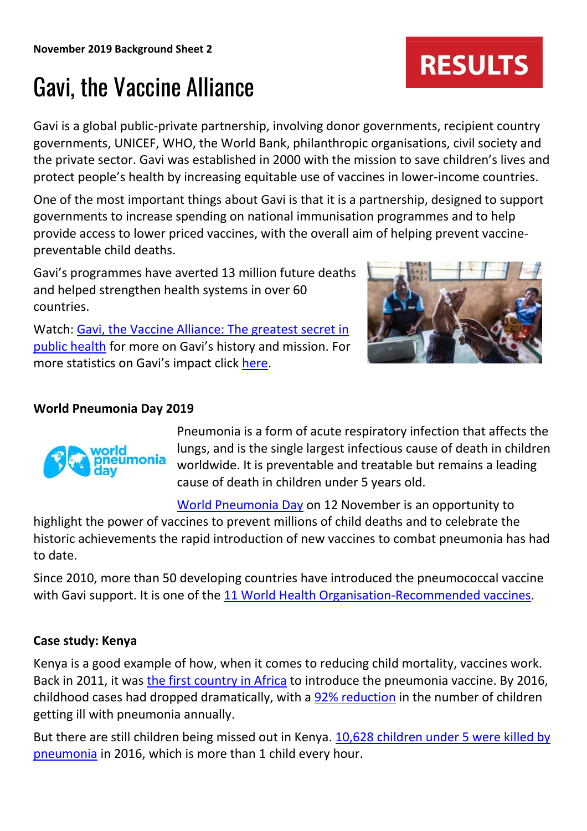# Gavi, the Vaccine Alliance

Gavi is a global public-private partnership, involving donor governments, recipient country governments, UNICEF, WHO, the World Bank, philanthropic organisations, civil society and the private sector. Gavi was established in 2000 with the mission to save children's lives and protect people's health by increasing equitable use of vaccines in lower-income countries.

One of the most important things about Gavi is that it is a partnership, designed to support governments to increase spending on national immunisation programmes and to help provide access to lower priced vaccines, with the overall aim of helping prevent vaccinepreventable child deaths.

Gavi's programmes have averted 13 million future deaths and helped strengthen health systems in over 60 countries.

Watch: [Gavi, the Vaccine Alliance: The greatest secret in](https://www.youtube.com/watch?v=mg9dYnmFrpo)  [public health](https://www.youtube.com/watch?v=mg9dYnmFrpo) for more on Gavi's history and mission. For more statistics on Gavi's impact click [here.](https://www.gavi.org/about/mission/facts-and-figures/)

## **World Pneumonia Day 2019**



Pneumonia is a form of acute respiratory infection that affects the lungs, and is the single largest infectious cause of death in children worldwide. It is preventable and treatable but remains a leading cause of death in children under 5 years old.

[World Pneumonia Day](https://www.who.int/life-course/news/events/world-pneumonia-day-2018/en/) on 12 November is an opportunity to

highlight the power of vaccines to prevent millions of child deaths and to celebrate the historic achievements the rapid introduction of new vaccines to combat pneumonia has had to date.

Since 2010, more than 50 developing countries have introduced the pneumococcal vaccine with Gavi support. It is one of the [11 World Health Organisation-Recommended vaccines.](https://www.who.int/immunization/policy/Immunization_routine_table2.pdf)

## **Case study: Kenya**

Kenya is a good example of how, when it comes to reducing child mortality, vaccines work. Back in 2011, it was [the first country in Africa](https://www.gavi.org/library/news/press-releases/2011/kenya-marks-global-roll-out-of-pneumococcal-vaccine/) to introduce the pneumonia vaccine. By 2016, childhood cases had dropped dramatically, with a [92% reduction](https://www.standardmedia.co.ke/health/article/2001346330/vaccine-reduces-pneumonia-cases-sharply-in-past-6-years-report) in the number of children getting ill with pneumonia annually.

But there are still children being missed out in Kenya. [10,628 children under 5 were killed by](https://www.savethechildren.org.uk/content/dam/gb/reports/policy/Kenya%202018.pdf)  [pneumonia](https://www.savethechildren.org.uk/content/dam/gb/reports/policy/Kenya%202018.pdf) in 2016, which is more than 1 child every hour.

# **RESULTS**